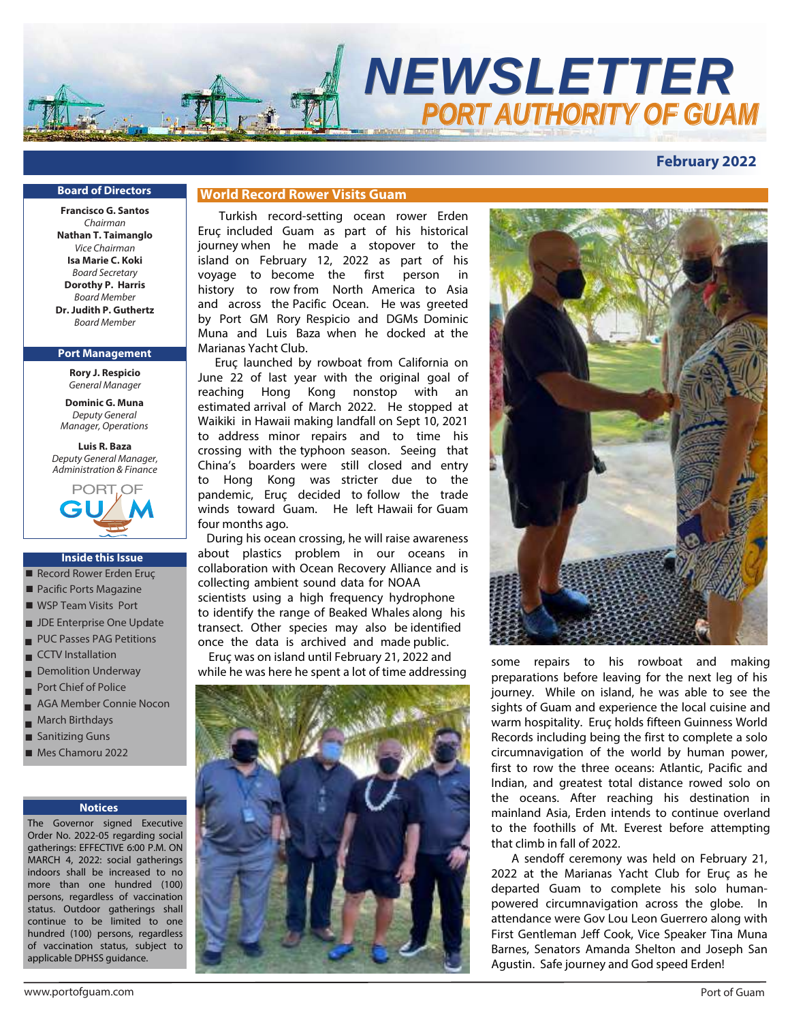

# **February 2022**

#### **Board of Directors**

**Francisco G. Santos** Chairman **Nathan T. Taimanglo** Vice Chairman **Isa Marie C. Koki** Board Secretary **Dorothy P. Harris** Board Member **Dr. Judith P. Guthertz** Board Member

#### **Port Management**

**Rory J. Respicio** *General Manager*

**Dominic G. Muna** *Deputy General Manager, Operations*

**Luis R. Baza** *Deputy General Manager, Administration & Finance*



#### **Inside this Issue**

- Record Rower Erden Eruç
- Pacific Ports Magazine
- WSP Team Visits Port
- JDE Enterprise One Update
- PUC Passes PAG Petitions ■
- CCTV Installation ■
- Demolition Underway ■
- Port Chief of Police ■
- AGA Member Connie Nocon ■
- March Birthdays ■
- Sanitizing Guns ■
- Mes Chamoru 2022

#### **Notices**

The Governor signed Executive Order No. 2022-05 regarding social gatherings: EFFECTIVE 6:00 P.M. ON MARCH 4, 2022: social gatherings indoors shall be increased to no more than one hundred (100) persons, regardless of vaccination status. Outdoor gatherings shall continue to be limited to one hundred (100) persons, regardless of vaccination status, subject to applicable DPHSS guidance.

# **World Record Rower Visits Guam**

Turkish record-setting ocean rower Erden Eruç included Guam as part of his historical journey when he made a stopover to the island on February 12, 2022 as part of his voyage to become the first person in history to row from North America to Asia and across the Pacific Ocean. He was greeted by Port GM Rory Respicio and DGMs Dominic Muna and Luis Baza when he docked at the Marianas Yacht Club.

Eruç launched by rowboat from California on June 22 of last year with the original goal of reaching Hong Kong nonstop with an estimated arrival of March 2022. He stopped at Waikiki in Hawaii making landfall on Sept 10, 2021 to address minor repairs and to time his crossing with the typhoon season. Seeing that China's boarders were still closed and entry to Hong Kong was stricter due to the pandemic, Eruç decided to follow the trade winds toward Guam. He left Hawaii for Guam four months ago.

During his ocean crossing, he will raise awareness about plastics problem in our oceans in collaboration with Ocean Recovery Alliance and is collecting ambient sound data for NOAA scientists using a high frequency hydrophone to identify the range of Beaked Whales along his transect. Other species may also be identified once the data is archived and made public.

 Eruç was on island until February 21, 2022 and while he was here he spent a lot of time addressing





some repairs to his rowboat and making preparations before leaving for the next leg of his journey. While on island, he was able to see the sights of Guam and experience the local cuisine and warm hospitality. Eruç holds fifteen Guinness World Records including being the first to complete a solo circumnavigation of the world by human power, first to row the three oceans: Atlantic, Pacific and Indian, and greatest total distance rowed solo on the oceans. After reaching his destination in mainland Asia, Erden intends to continue overland to the foothills of Mt. Everest before attempting that climb in fall of 2022.

A sendoff ceremony was held on February 21, 2022 at the Marianas Yacht Club for Eruç as he departed Guam to complete his solo humanpowered circumnavigation across the globe. In attendance were Gov Lou Leon Guerrero along with First Gentleman Jeff Cook, Vice Speaker Tina Muna Barnes, Senators Amanda Shelton and Joseph San Agustin. Safe journey and God speed Erden!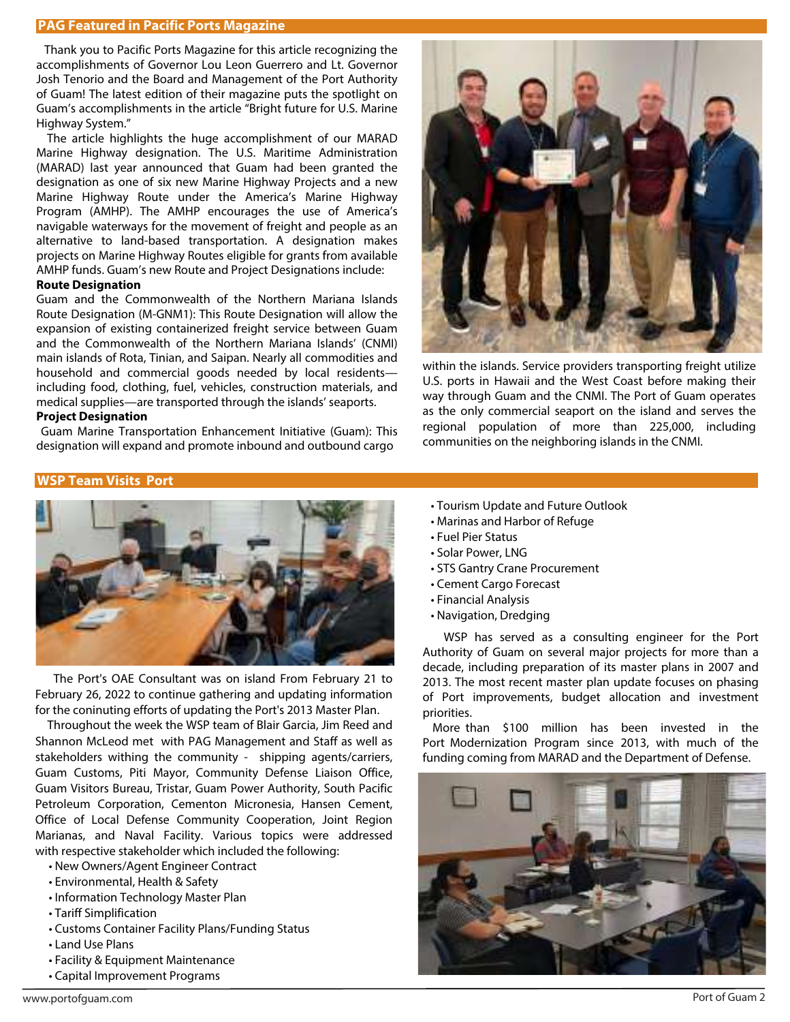# **PAG Featured in Pacific Ports Magazine**

Thank you to Pacific Ports Magazine for this article recognizing the accomplishments of Governor Lou Leon Guerrero and Lt. Governor Josh Tenorio and the Board and Management of the Port Authority of Guam! The latest edition of their magazine puts the spotlight on Guam's accomplishments in the article "Bright future for U.S. Marine Highway System."

 The article highlights the huge accomplishment of our MARAD Marine Highway designation. The U.S. Maritime Administration (MARAD) last year announced that Guam had been granted the designation as one of six new Marine Highway Projects and a new Marine Highway Route under the America's Marine Highway Program (AMHP). The AMHP encourages the use of America's navigable waterways for the movement of freight and people as an alternative to land-based transportation. A designation makes projects on Marine Highway Routes eligible for grants from available AMHP funds. Guam's new Route and Project Designations include:

#### **Route Designation**

Guam and the Commonwealth of the Northern Mariana Islands Route Designation (M-GNM1): This Route Designation will allow the expansion of existing containerized freight service between Guam and the Commonwealth of the Northern Mariana Islands' (CNMI) main islands of Rota, Tinian, and Saipan. Nearly all commodities and household and commercial goods needed by local residents including food, clothing, fuel, vehicles, construction materials, and medical supplies—are transported through the islands' seaports.

## **Project Designation**

 Guam Marine Transportation Enhancement Initiative (Guam): This designation will expand and promote inbound and outbound cargo

## **WSP Team Visits Port**



 The Port's OAE Consultant was on island From February 21 to February 26, 2022 to continue gathering and updating information for the coninuting efforts of updating the Port's 2013 Master Plan.

 Throughout the week the WSP team of Blair Garcia, Jim Reed and Shannon McLeod met with PAG Management and Staff as well as stakeholders withing the community - shipping agents/carriers, Guam Customs, Piti Mayor, Community Defense Liaison Office, Guam Visitors Bureau, Tristar, Guam Power Authority, South Pacific Petroleum Corporation, Cementon Micronesia, Hansen Cement, Office of Local Defense Community Cooperation, Joint Region Marianas, and Naval Facility. Various topics were addressed with respective stakeholder which included the following:

- New Owners/Agent Engineer Contract
- Environmental, Health & Safety
- Information Technology Master Plan
- Tariff Simplification
- Customs Container Facility Plans/Funding Status
- Land Use Plans
- Facility & Equipment Maintenance
- Capital Improvement Programs



within the islands. Service providers transporting freight utilize U.S. ports in Hawaii and the West Coast before making their way through Guam and the CNMI. The Port of Guam operates as the only commercial seaport on the island and serves the regional population of more than 225,000, including communities on the neighboring islands in the CNMI.

- Tourism Update and Future Outlook
- Marinas and Harbor of Refuge
- Fuel Pier Status
- Solar Power, LNG
- STS Gantry Crane Procurement
- Cement Cargo Forecast
- Financial Analysis
- Navigation, Dredging

WSP has served as a consulting engineer for the Port Authority of Guam on several major projects for more than a decade, including preparation of its master plans in 2007 and 2013. The most recent master plan update focuses on phasing of Port improvements, budget allocation and investment priorities.

More than \$100 million has been invested in the Port Modernization Program since 2013, with much of the funding coming from MARAD and the Department of Defense.

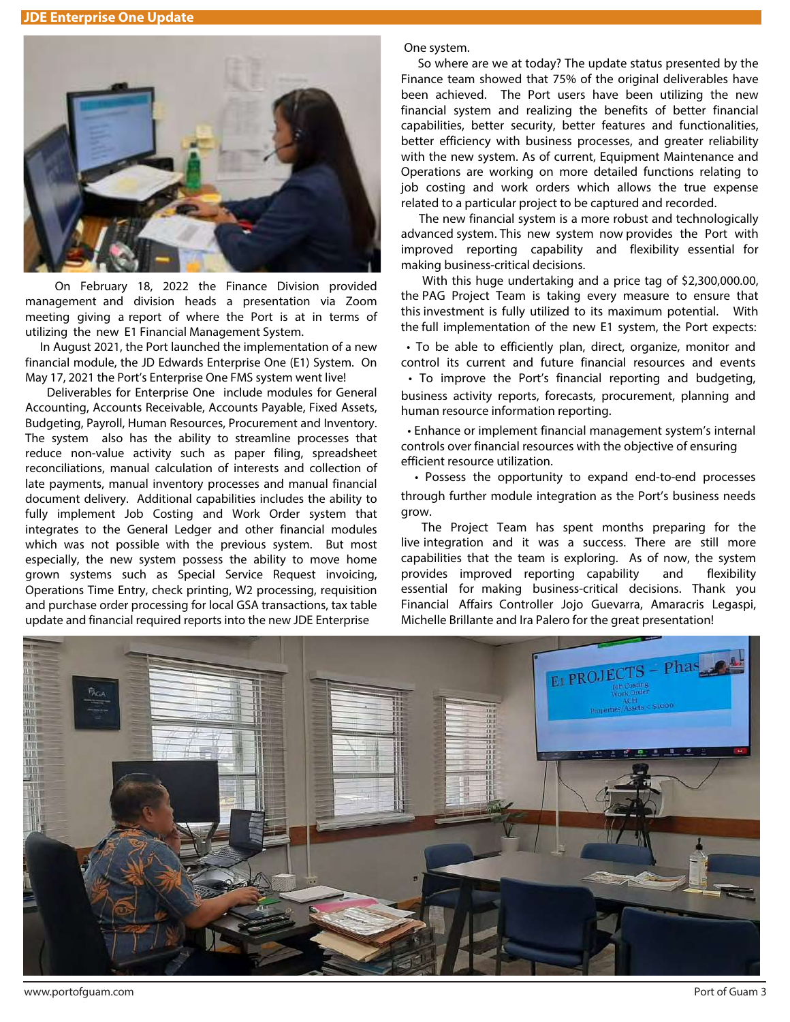**JDE Enterprise One Update** 



On February 18, 2022 the Finance Division provided management and division heads a presentation via Zoom meeting giving a report of where the Port is at in terms of utilizing the new E1 Financial Management System.

 In August 2021, the Port launched the implementation of a new financial module, the JD Edwards Enterprise One (E1) System. On May 17, 2021 the Port's Enterprise One FMS system went live!

 Deliverables for Enterprise One include modules for General Accounting, Accounts Receivable, Accounts Payable, Fixed Assets, Budgeting, Payroll, Human Resources, Procurement and Inventory. The system also has the ability to streamline processes that reduce non-value activity such as paper filing, spreadsheet reconciliations, manual calculation of interests and collection of late payments, manual inventory processes and manual financial document delivery. Additional capabilities includes the ability to fully implement Job Costing and Work Order system that integrates to the General Ledger and other financial modules which was not possible with the previous system. But most especially, the new system possess the ability to move home grown systems such as Special Service Request invoicing, Operations Time Entry, check printing, W2 processing, requisition and purchase order processing for local GSA transactions, tax table update and financial required reports into the new JDE Enterprise

One system.

 So where are we at today? The update status presented by the Finance team showed that 75% of the original deliverables have been achieved. The Port users have been utilizing the new financial system and realizing the benefits of better financial capabilities, better security, better features and functionalities, better efficiency with business processes, and greater reliability with the new system. As of current, Equipment Maintenance and Operations are working on more detailed functions relating to job costing and work orders which allows the true expense related to a particular project to be captured and recorded.

 The new financial system is a more robust and technologically advanced system. This new system now provides the Port with improved reporting capability and flexibility essential for making business-critical decisions.

 With this huge undertaking and a price tag of \$2,300,000.00, the PAG Project Team is taking every measure to ensure that this investment is fully utilized to its maximum potential. With the full implementation of the new E1 system, the Port expects:

• To be able to efficiently plan, direct, organize, monitor and control its current and future financial resources and events • To improve the Port's financial reporting and budgeting, business activity reports, forecasts, procurement, planning and human resource information reporting.

• Enhance or implement financial management system's internal controls over financial resources with the objective of ensuring efficient resource utilization.

• Possess the opportunity to expand end-to-end processes through further module integration as the Port's business needs grow.

The Project Team has spent months preparing for the live integration and it was a success. There are still more capabilities that the team is exploring. As of now, the system provides improved reporting capability and flexibility essential for making business-critical decisions. Thank you Financial Affairs Controller Jojo Guevarra, Amaracris Legaspi, Michelle Brillante and Ira Palero for the great presentation!

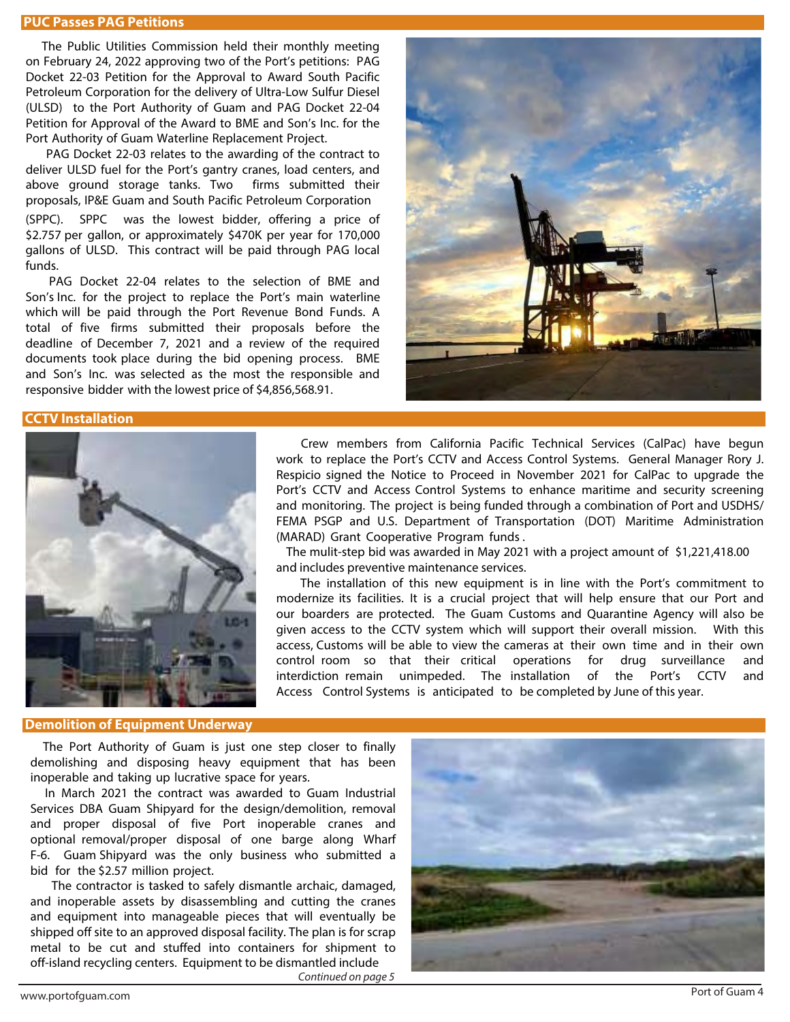### **PUC Passes PAG Petitions**

The Public Utilities Commission held their monthly meeting on February 24, 2022 approving two of the Port's petitions: PAG Docket 22-03 Petition for the Approval to Award South Pacific Petroleum Corporation for the delivery of Ultra-Low Sulfur Diesel (ULSD) to the Port Authority of Guam and PAG Docket 22-04 Petition for Approval of the Award to BME and Son's Inc. for the Port Authority of Guam Waterline Replacement Project.

 PAG Docket 22-03 relates to the awarding of the contract to deliver ULSD fuel for the Port's gantry cranes, load centers, and above ground storage tanks. Two firms submitted their proposals, IP&E Guam and South Pacific Petroleum Corporation (SPPC). SPPC was the lowest bidder, offering a price of \$2.757 per gallon, or approximately \$470K per year for 170,000 gallons of ULSD. This contract will be paid through PAG local funds.

PAG Docket 22-04 relates to the selection of BME and Son's Inc. for the project to replace the Port's main waterline which will be paid through the Port Revenue Bond Funds. A total of five firms submitted their proposals before the deadline of December 7, 2021 and a review of the required documents took place during the bid opening process. BME and Son's Inc. was selected as the most the responsible and responsive bidder with the lowest price of \$4,856,568.91.



## **CCTV Installation**



Crew members from California Pacific Technical Services (CalPac) have begun work to replace the Port's CCTV and Access Control Systems. General Manager Rory J. Respicio signed the Notice to Proceed in November 2021 for CalPac to upgrade the Port's CCTV and Access Control Systems to enhance maritime and security screening and monitoring. The project is being funded through a combination of Port and USDHS/ FEMA PSGP and U.S. Department of Transportation (DOT) Maritime Administration (MARAD) Grant Cooperative Program funds .

 The mulit-step bid was awarded in May 2021 with a project amount of \$1,221,418.00 and includes preventive maintenance services.

The installation of this new equipment is in line with the Port's commitment to modernize its facilities. It is a crucial project that will help ensure that our Port and our boarders are protected. The Guam Customs and Quarantine Agency will also be given access to the CCTV system which will support their overall mission. With this access, Customs will be able to view the cameras at their own time and in their own control room so that their critical operations for drug surveillance and interdiction remain unimpeded. The installation of the Port's CCTV and Access Control Systems is anticipated to be completed by June of this year.

#### **Demolition of Equipment Underway**

 The Port Authority of Guam is just one step closer to finally demolishing and disposing heavy equipment that has been inoperable and taking up lucrative space for years.

In March 2021 the contract was awarded to Guam Industrial Services DBA Guam Shipyard for the design/demolition, removal and proper disposal of five Port inoperable cranes and optional removal/proper disposal of one barge along Wharf F-6. Guam Shipyard was the only business who submitted a bid for the \$2.57 million project.

The contractor is tasked to safely dismantle archaic, damaged, and inoperable assets by disassembling and cutting the cranes and equipment into manageable pieces that will eventually be shipped off site to an approved disposal facility. The plan is for scrap metal to be cut and stuffed into containers for shipment to off-island recycling centers. Equipment to be dismantled include

Continued on page 5

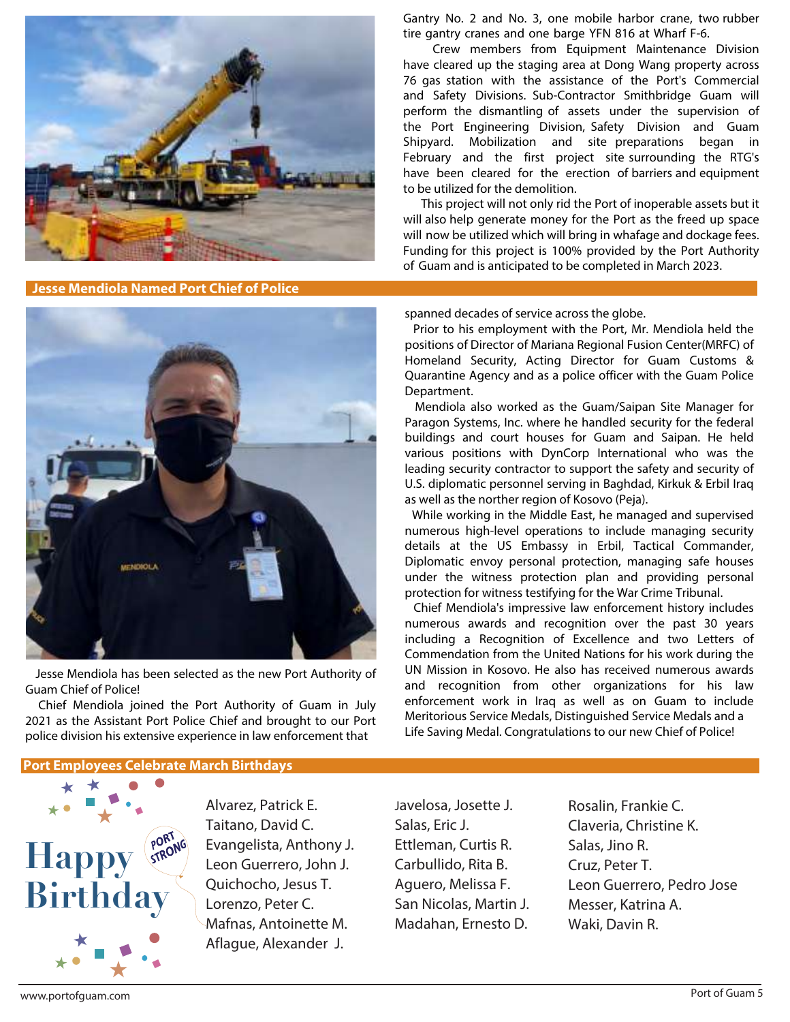

**Jesse Mendiola Named Port Chief of Police**



 Crew members from Equipment Maintenance Division have cleared up the staging area at Dong Wang property across 76 gas station with the assistance of the Port's Commercial and Safety Divisions. Sub-Contractor Smithbridge Guam will perform the dismantling of assets under the supervision of the Port Engineering Division, Safety Division and Guam Shipyard. Mobilization and site preparations began in February and the first project site surrounding the RTG's have been cleared for the erection of barriers and equipment to be utilized for the demolition.

 This project will not only rid the Port of inoperable assets but it will also help generate money for the Port as the freed up space will now be utilized which will bring in whafage and dockage fees. Funding for this project is 100% provided by the Port Authority of Guam and is anticipated to be completed in March 2023.



 Jesse Mendiola has been selected as the new Port Authority of Guam Chief of Police!

 Chief Mendiola joined the Port Authority of Guam in July 2021 as the Assistant Port Police Chief and brought to our Port police division his extensive experience in law enforcement that

# spanned decades of service across the globe. Prior to his employment with the Port, Mr. Mendiola held the

positions of Director of Mariana Regional Fusion Center(MRFC) of Homeland Security, Acting Director for Guam Customs & Quarantine Agency and as a police officer with the Guam Police Department.

 Mendiola also worked as the Guam/Saipan Site Manager for Paragon Systems, Inc. where he handled security for the federal buildings and court houses for Guam and Saipan. He held various positions with DynCorp International who was the leading security contractor to support the safety and security of U.S. diplomatic personnel serving in Baghdad, Kirkuk & Erbil Iraq as well as the norther region of Kosovo (Peja).

 While working in the Middle East, he managed and supervised numerous high-level operations to include managing security details at the US Embassy in Erbil, Tactical Commander, Diplomatic envoy personal protection, managing safe houses under the witness protection plan and providing personal protection for witness testifying for the War Crime Tribunal.

 Chief Mendiola's impressive law enforcement history includes numerous awards and recognition over the past 30 years including a Recognition of Excellence and two Letters of Commendation from the United Nations for his work during the UN Mission in Kosovo. He also has received numerous awards and recognition from other organizations for his law enforcement work in Iraq as well as on Guam to include Meritorious Service Medals, Distinguished Service Medals and a Life Saving Medal. Congratulations to our new Chief of Police!

# **Port Employees Celebrate March Birthdays**



Alvarez, Patrick E. Taitano, David C. Evangelista, Anthony J. Leon Guerrero, John J. Quichocho, Jesus T. Lorenzo, Peter C. Mafnas, Antoinette M. Aflague, Alexander J.

Javelosa, Josette J. Salas, Eric J. Ettleman, Curtis R. Carbullido, Rita B. Aguero, Melissa F. San Nicolas, Martin J. Madahan, Ernesto D.

Rosalin, Frankie C. Claveria, Christine K. Salas, Jino R. Cruz, Peter T. Leon Guerrero, Pedro Jose Messer, Katrina A. Waki, Davin R.